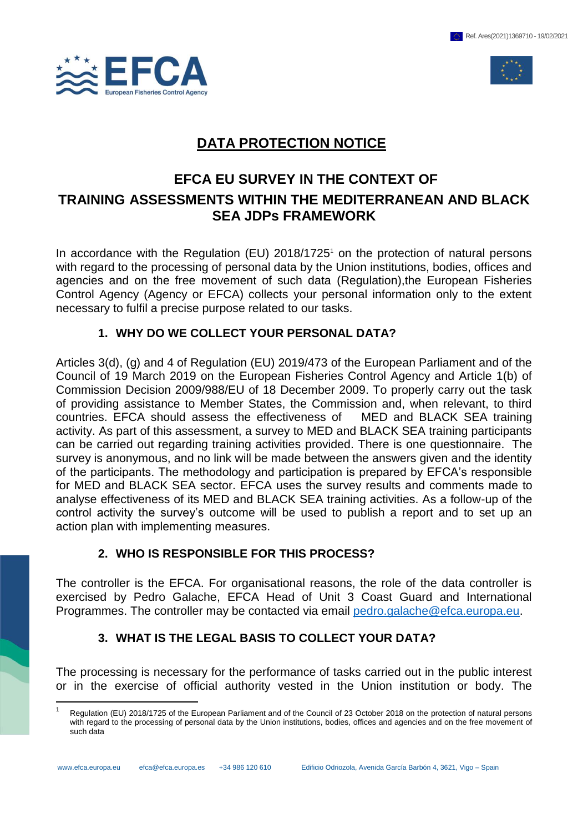

 $\overline{a}$ 



# **DATA PROTECTION NOTICE**

# **EFCA EU SURVEY IN THE CONTEXT OF TRAINING ASSESSMENTS WITHIN THE MEDITERRANEAN AND BLACK SEA JDPs FRAMEWORK**

In accordance with the Regulation (EU)  $2018/1725$ <sup>1</sup> on the protection of natural persons with regard to the processing of personal data by the Union institutions, bodies, offices and agencies and on the free movement of such data (Regulation),the European Fisheries Control Agency (Agency or EFCA) collects your personal information only to the extent necessary to fulfil a precise purpose related to our tasks.

#### **1. WHY DO WE COLLECT YOUR PERSONAL DATA?**

Articles 3(d), (g) and 4 of Regulation (EU) 2019/473 of the European Parliament and of the Council of 19 March 2019 on the European Fisheries Control Agency and Article 1(b) of Commission Decision 2009/988/EU of 18 December 2009. To properly carry out the task of providing assistance to Member States, the Commission and, when relevant, to third countries. EFCA should assess the effectiveness of MED and BLACK SEA training activity. As part of this assessment, a survey to MED and BLACK SEA training participants can be carried out regarding training activities provided. There is one questionnaire. The survey is anonymous, and no link will be made between the answers given and the identity of the participants. The methodology and participation is prepared by EFCA's responsible for MED and BLACK SEA sector. EFCA uses the survey results and comments made to analyse effectiveness of its MED and BLACK SEA training activities. As a follow-up of the control activity the survey's outcome will be used to publish a report and to set up an action plan with implementing measures.

# **2. WHO IS RESPONSIBLE FOR THIS PROCESS?**

The controller is the EFCA. For organisational reasons, the role of the data controller is exercised by Pedro Galache, EFCA Head of Unit 3 Coast Guard and International Programmes. The controller may be contacted via email [pedro.galache@efca.europa.eu.](mailto:pedro.galache@efca.europa.eu)

# **3. WHAT IS THE LEGAL BASIS TO COLLECT YOUR DATA?**

The processing is necessary for the performance of tasks carried out in the public interest or in the exercise of official authority vested in the Union institution or body. The

<sup>1</sup> Regulation (EU) 2018/1725 of the European Parliament and of the Council of 23 October 2018 on the protection of natural persons with regard to the processing of personal data by the Union institutions, bodies, offices and agencies and on the free movement of such data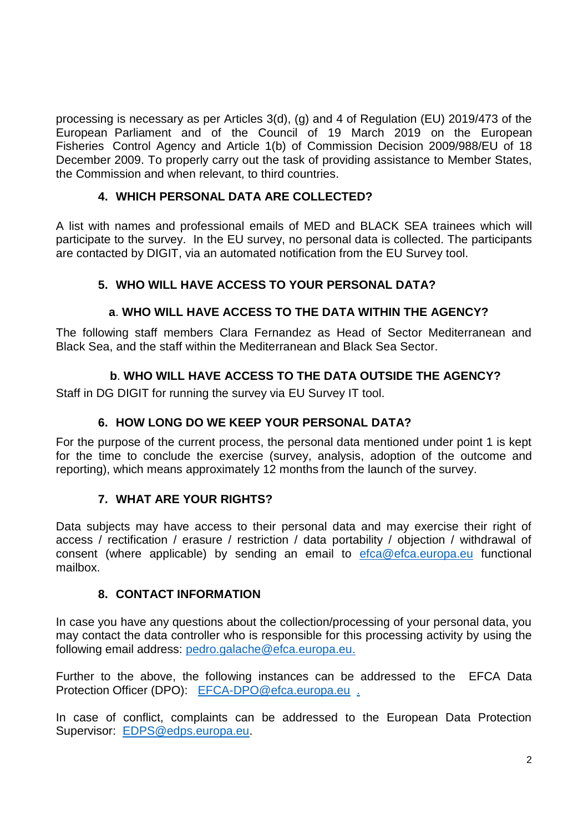processing is necessary as per Articles 3(d), (g) and 4 of Regulation (EU) 2019/473 of the European Parliament and of the Council of 19 March 2019 on the European Fisheries Control Agency and Article 1(b) of Commission Decision 2009/988/EU of 18 December 2009. To properly carry out the task of providing assistance to Member States, the Commission and when relevant, to third countries.

## **4. WHICH PERSONAL DATA ARE COLLECTED?**

A list with names and professional emails of MED and BLACK SEA trainees which will participate to the survey. In the EU survey, no personal data is collected. The participants are contacted by DIGIT, via an automated notification from the EU Survey tool.

# **5. WHO WILL HAVE ACCESS TO YOUR PERSONAL DATA?**

## **a**. **WHO WILL HAVE ACCESS TO THE DATA WITHIN THE AGENCY?**

The following staff members Clara Fernandez as Head of Sector Mediterranean and Black Sea, and the staff within the Mediterranean and Black Sea Sector.

## **b**. **WHO WILL HAVE ACCESS TO THE DATA OUTSIDE THE AGENCY?**

Staff in DG DIGIT for running the survey via EU Survey IT tool.

### **6. HOW LONG DO WE KEEP YOUR PERSONAL DATA?**

For the purpose of the current process, the personal data mentioned under point 1 is kept for the time to conclude the exercise (survey, analysis, adoption of the outcome and reporting), which means approximately 12 months from the launch of the survey.

#### **7. WHAT ARE YOUR RIGHTS?**

Data subjects may have access to their personal data and may exercise their right of access / rectification / erasure / restriction / data portability / objection / withdrawal of consent (where applicable) by sending an email to [efca@efca.europa.eu](mailto:efca@efca.europa.eu) functional mailbox.

#### **8. CONTACT INFORMATION**

In case you have any questions about the collection/processing of your personal data, you may contact the data controller who is responsible for this processing activity by using the following email address: [pedro.galache@efca.europa.eu.](mailto:pedro.galache@efca.europa.eu)

Further to the above, the following instances can be addressed to the EFCA Data Protection Officer (DPO): [EFCA-DPO@efca.europa.eu](mailto:EFCA-DPO@efca.europa.eu).

In case of conflict, complaints can be addressed to the European Data Protection Supervisor: [EDPS@edps.europa.eu.](mailto:EDPS@edps.europa.eu)